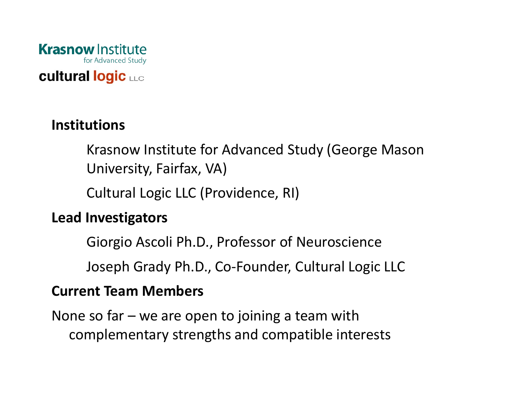

#### **cultural logic LLC**

### **Institutions**

Krasnow Institute for Advanced Study (George Mason University, Fairfax, VA)

Cultural Logic LLC (Providence, RI)

#### **Lead Investigators**

Giorgio Ascoli Ph.D., Professor of Neuroscience

Joseph Grady Ph.D., Co‐Founder, Cultural Logic LLC

#### **Current Team Members**

None so far – we are open to joining <sup>a</sup> team with complementary strengths and compatible interests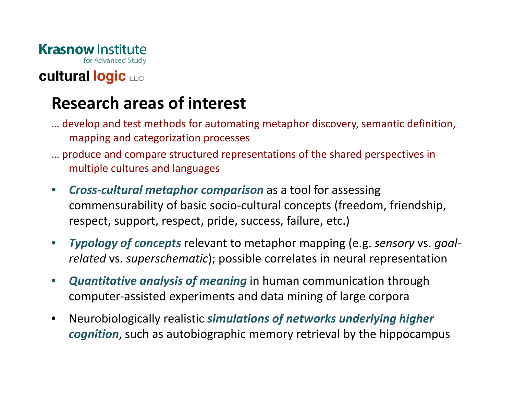

## **cultural logic LLC**

## **Research areas of interest**

- … develop and test methods for automating metaphor discovery, semantic definition, mapping and categorization processes
- … produce and compare structured representations of the shared perspectives in multiple cultures and languages
- $\bullet$  *Cross‐cultural metaphor comparison* as <sup>a</sup> tool for assessing commensurability of basic socio‐cultural concepts (freedom, friendship, respect, support, respect, pride, success, failure, etc.)
- $\bullet$  *Typology of concepts* relevant to metaphor mapping (e.g. *sensory* vs. *goal‐ related* vs. *superschematic*); possible correlates in neural representation
- $\bullet$  *Quantitative analysis of meaning* in human communication through computer‐assisted experiments and data mining of large corpora
- $\bullet$  Neurobiologically realistic *simulations of networks underlying higher cognition*, such as autobiographic memory retrieval by the hippocampus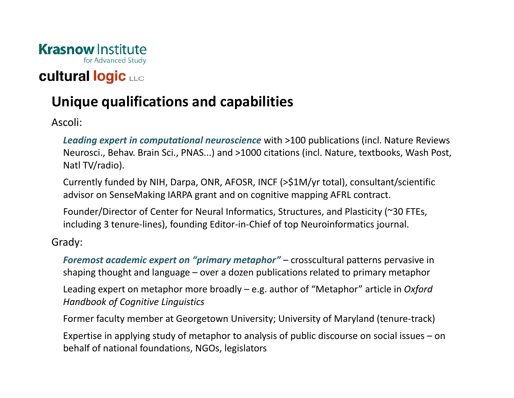

## **cultural logic LLC**

## **Unique qualifications and capabilities**

Ascoli:

*Leading expert in computational neuroscience* with >100 publications (incl. Nature Reviews Neurosci., Behav. Brain Sci., PNAS...) and >1000 citations (incl. Nature, textbooks, Wash Post, Natl TV/radio).

Currently funded by NIH, Darpa, ONR, AFOSR, INCF (>\$1M/yr total), consultant/scientific advisor on SenseMaking IARPA grant and on cognitive mapping AFRL contract.

Founder/Director of Center for Neural Informatics, Structures, and Plasticity (~30 FTEs, including 3 tenure‐lines), founding Editor‐in‐Chief of top Neuroinformatics journal.

Grady:

*Foremost academic expert on "primary metaphor"* – crosscultural patterns pervasive in shaping thought and language – over <sup>a</sup> dozen publications related to primary metaphor

Leading expert on metaphor more broadly – e.g. author of "Metaphor" article in *Oxford Handbook of Cognitive Linguistics*

Former faculty member at Georgetown University; University of Maryland (tenure‐track)

Expertise in applying study of metaphor to analysis of public discourse on social issues – on behalf of national foundations, NGOs, legislators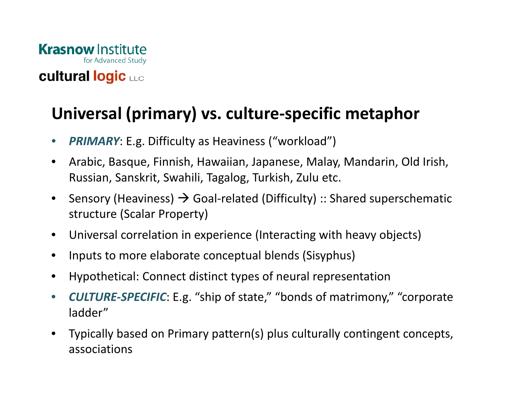

# **Universal (primary) vs. culture‐specific metaphor**

- $\bullet$ *PRIMARY*: E.g. Difficulty as Heaviness ("workload")
- • Arabic, Basque, Finnish, Hawaiian, Japanese, Malay, Mandarin, Old Irish, Russian, Sanskrit, Swahili, Tagalog, Turkish, Zulu etc.
- $\bullet$ Sensory (Heaviness)  $\rightarrow$  Goal-related (Difficulty) :: Shared superschematic structure (Scalar Property)
- $\bullet$ Universal correlation in experience (Interacting with heavy objects)
- •Inputs to more elaborate conceptual blends (Sisyphus)
- •Hypothetical: Connect distinct types of neural representation
- $\bullet$  *CULTURE‐SPECIFIC*: E.g. "ship of state," "bonds of matrimony," "corporate ladder"
- $\bullet$  Typically based on Primary pattern(s) plus culturally contingent concepts, associations